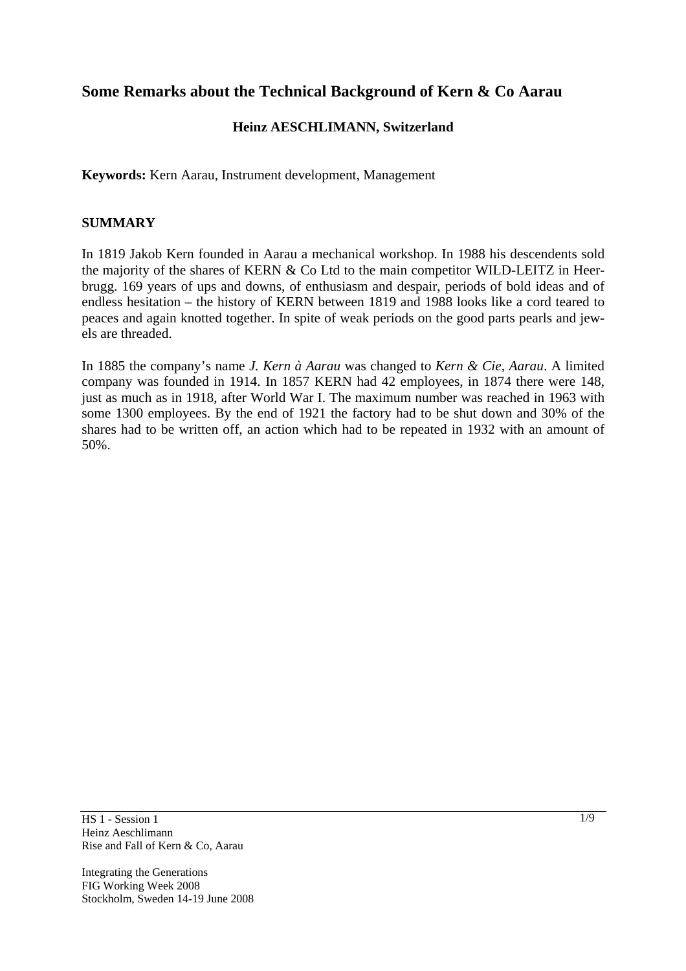# **Some Remarks about the Technical Background of Kern & Co Aarau**

### **Heinz AESCHLIMANN, Switzerland**

**Keywords:** Kern Aarau, Instrument development, Management

#### **SUMMARY**

In 1819 Jakob Kern founded in Aarau a mechanical workshop. In 1988 his descendents sold the majority of the shares of KERN & Co Ltd to the main competitor WILD-LEITZ in Heerbrugg. 169 years of ups and downs, of enthusiasm and despair, periods of bold ideas and of endless hesitation – the history of KERN between 1819 and 1988 looks like a cord teared to peaces and again knotted together. In spite of weak periods on the good parts pearls and jewels are threaded.

In 1885 the company's name *J. Kern à Aarau* was changed to *Kern & Cie, Aarau*. A limited company was founded in 1914. In 1857 KERN had 42 employees, in 1874 there were 148, just as much as in 1918, after World War I. The maximum number was reached in 1963 with some 1300 employees. By the end of 1921 the factory had to be shut down and 30% of the shares had to be written off, an action which had to be repeated in 1932 with an amount of 50%.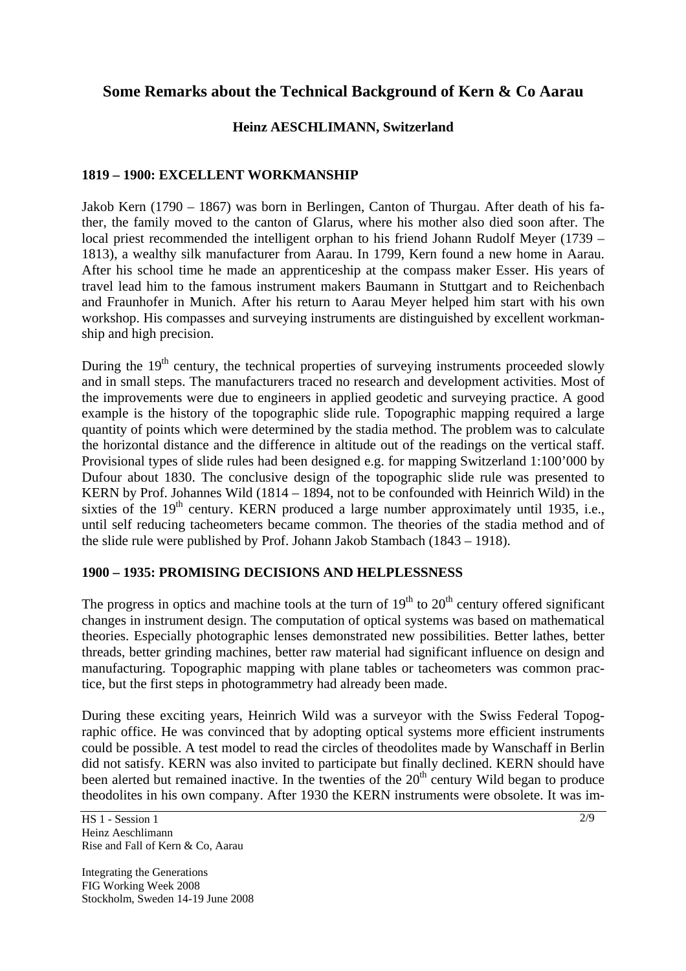# **Some Remarks about the Technical Background of Kern & Co Aarau**

### **Heinz AESCHLIMANN, Switzerland**

### **1819 – 1900: EXCELLENT WORKMANSHIP**

Jakob Kern (1790 – 1867) was born in Berlingen, Canton of Thurgau. After death of his father, the family moved to the canton of Glarus, where his mother also died soon after. The local priest recommended the intelligent orphan to his friend Johann Rudolf Meyer (1739 – 1813), a wealthy silk manufacturer from Aarau. In 1799, Kern found a new home in Aarau. After his school time he made an apprenticeship at the compass maker Esser. His years of travel lead him to the famous instrument makers Baumann in Stuttgart and to Reichenbach and Fraunhofer in Munich. After his return to Aarau Meyer helped him start with his own workshop. His compasses and surveying instruments are distinguished by excellent workmanship and high precision.

During the  $19<sup>th</sup>$  century, the technical properties of surveying instruments proceeded slowly and in small steps. The manufacturers traced no research and development activities. Most of the improvements were due to engineers in applied geodetic and surveying practice. A good example is the history of the topographic slide rule. Topographic mapping required a large quantity of points which were determined by the stadia method. The problem was to calculate the horizontal distance and the difference in altitude out of the readings on the vertical staff. Provisional types of slide rules had been designed e.g. for mapping Switzerland 1:100'000 by Dufour about 1830. The conclusive design of the topographic slide rule was presented to KERN by Prof. Johannes Wild (1814 – 1894, not to be confounded with Heinrich Wild) in the sixties of the  $19<sup>th</sup>$  century. KERN produced a large number approximately until 1935, i.e., until self reducing tacheometers became common. The theories of the stadia method and of the slide rule were published by Prof. Johann Jakob Stambach (1843 – 1918).

### **1900 – 1935: PROMISING DECISIONS AND HELPLESSNESS**

The progress in optics and machine tools at the turn of  $19<sup>th</sup>$  to  $20<sup>th</sup>$  century offered significant changes in instrument design. The computation of optical systems was based on mathematical theories. Especially photographic lenses demonstrated new possibilities. Better lathes, better threads, better grinding machines, better raw material had significant influence on design and manufacturing. Topographic mapping with plane tables or tacheometers was common practice, but the first steps in photogrammetry had already been made.

During these exciting years, Heinrich Wild was a surveyor with the Swiss Federal Topographic office. He was convinced that by adopting optical systems more efficient instruments could be possible. A test model to read the circles of theodolites made by Wanschaff in Berlin did not satisfy. KERN was also invited to participate but finally declined. KERN should have been alerted but remained inactive. In the twenties of the  $20<sup>th</sup>$  century Wild began to produce theodolites in his own company. After 1930 the KERN instruments were obsolete. It was im-

HS 1 - Session 1 Heinz Aeschlimann Rise and Fall of Kern & Co, Aarau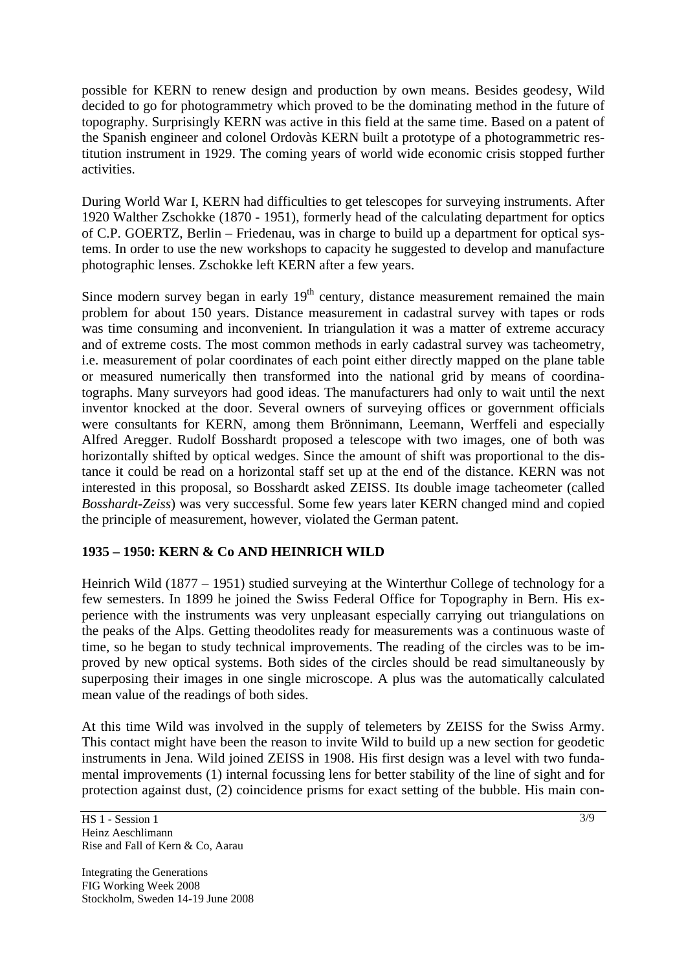possible for KERN to renew design and production by own means. Besides geodesy, Wild decided to go for photogrammetry which proved to be the dominating method in the future of topography. Surprisingly KERN was active in this field at the same time. Based on a patent of the Spanish engineer and colonel Ordovàs KERN built a prototype of a photogrammetric restitution instrument in 1929. The coming years of world wide economic crisis stopped further activities.

During World War I, KERN had difficulties to get telescopes for surveying instruments. After 1920 Walther Zschokke (1870 - 1951), formerly head of the calculating department for optics of C.P. GOERTZ, Berlin – Friedenau, was in charge to build up a department for optical systems. In order to use the new workshops to capacity he suggested to develop and manufacture photographic lenses. Zschokke left KERN after a few years.

Since modern survey began in early  $19<sup>th</sup>$  century, distance measurement remained the main problem for about 150 years. Distance measurement in cadastral survey with tapes or rods was time consuming and inconvenient. In triangulation it was a matter of extreme accuracy and of extreme costs. The most common methods in early cadastral survey was tacheometry, i.e. measurement of polar coordinates of each point either directly mapped on the plane table or measured numerically then transformed into the national grid by means of coordinatographs. Many surveyors had good ideas. The manufacturers had only to wait until the next inventor knocked at the door. Several owners of surveying offices or government officials were consultants for KERN, among them Brönnimann, Leemann, Werffeli and especially Alfred Aregger. Rudolf Bosshardt proposed a telescope with two images, one of both was horizontally shifted by optical wedges. Since the amount of shift was proportional to the distance it could be read on a horizontal staff set up at the end of the distance. KERN was not interested in this proposal, so Bosshardt asked ZEISS. Its double image tacheometer (called *Bosshardt-Zeiss*) was very successful. Some few years later KERN changed mind and copied the principle of measurement, however, violated the German patent.

## **1935 – 1950: KERN & Co AND HEINRICH WILD**

Heinrich Wild (1877 – 1951) studied surveying at the Winterthur College of technology for a few semesters. In 1899 he joined the Swiss Federal Office for Topography in Bern. His experience with the instruments was very unpleasant especially carrying out triangulations on the peaks of the Alps. Getting theodolites ready for measurements was a continuous waste of time, so he began to study technical improvements. The reading of the circles was to be improved by new optical systems. Both sides of the circles should be read simultaneously by superposing their images in one single microscope. A plus was the automatically calculated mean value of the readings of both sides.

At this time Wild was involved in the supply of telemeters by ZEISS for the Swiss Army. This contact might have been the reason to invite Wild to build up a new section for geodetic instruments in Jena. Wild joined ZEISS in 1908. His first design was a level with two fundamental improvements (1) internal focussing lens for better stability of the line of sight and for protection against dust, (2) coincidence prisms for exact setting of the bubble. His main con-

HS 1 - Session 1 Heinz Aeschlimann Rise and Fall of Kern & Co, Aarau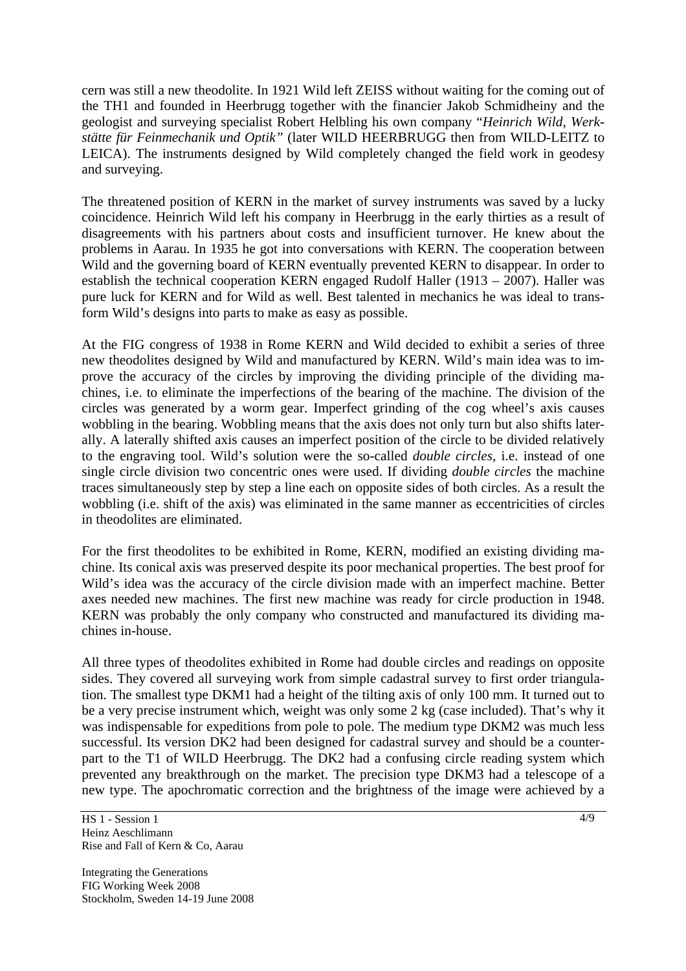cern was still a new theodolite. In 1921 Wild left ZEISS without waiting for the coming out of the TH1 and founded in Heerbrugg together with the financier Jakob Schmidheiny and the geologist and surveying specialist Robert Helbling his own company "*Heinrich Wild, Werkstätte für Feinmechanik und Optik"* (later WILD HEERBRUGG then from WILD-LEITZ to LEICA). The instruments designed by Wild completely changed the field work in geodesy and surveying.

The threatened position of KERN in the market of survey instruments was saved by a lucky coincidence. Heinrich Wild left his company in Heerbrugg in the early thirties as a result of disagreements with his partners about costs and insufficient turnover. He knew about the problems in Aarau. In 1935 he got into conversations with KERN. The cooperation between Wild and the governing board of KERN eventually prevented KERN to disappear. In order to establish the technical cooperation KERN engaged Rudolf Haller (1913 – 2007). Haller was pure luck for KERN and for Wild as well. Best talented in mechanics he was ideal to transform Wild's designs into parts to make as easy as possible.

At the FIG congress of 1938 in Rome KERN and Wild decided to exhibit a series of three new theodolites designed by Wild and manufactured by KERN. Wild's main idea was to improve the accuracy of the circles by improving the dividing principle of the dividing machines, i.e. to eliminate the imperfections of the bearing of the machine. The division of the circles was generated by a worm gear. Imperfect grinding of the cog wheel's axis causes wobbling in the bearing. Wobbling means that the axis does not only turn but also shifts laterally. A laterally shifted axis causes an imperfect position of the circle to be divided relatively to the engraving tool. Wild's solution were the so-called *double circles,* i.e. instead of one single circle division two concentric ones were used. If dividing *double circles* the machine traces simultaneously step by step a line each on opposite sides of both circles. As a result the wobbling (i.e. shift of the axis) was eliminated in the same manner as eccentricities of circles in theodolites are eliminated.

For the first theodolites to be exhibited in Rome, KERN, modified an existing dividing machine. Its conical axis was preserved despite its poor mechanical properties. The best proof for Wild's idea was the accuracy of the circle division made with an imperfect machine. Better axes needed new machines. The first new machine was ready for circle production in 1948. KERN was probably the only company who constructed and manufactured its dividing machines in-house.

All three types of theodolites exhibited in Rome had double circles and readings on opposite sides. They covered all surveying work from simple cadastral survey to first order triangulation. The smallest type DKM1 had a height of the tilting axis of only 100 mm. It turned out to be a very precise instrument which, weight was only some 2 kg (case included). That's why it was indispensable for expeditions from pole to pole. The medium type DKM2 was much less successful. Its version DK2 had been designed for cadastral survey and should be a counterpart to the T1 of WILD Heerbrugg. The DK2 had a confusing circle reading system which prevented any breakthrough on the market. The precision type DKM3 had a telescope of a new type. The apochromatic correction and the brightness of the image were achieved by a

HS 1 - Session 1 Heinz Aeschlimann Rise and Fall of Kern & Co, Aarau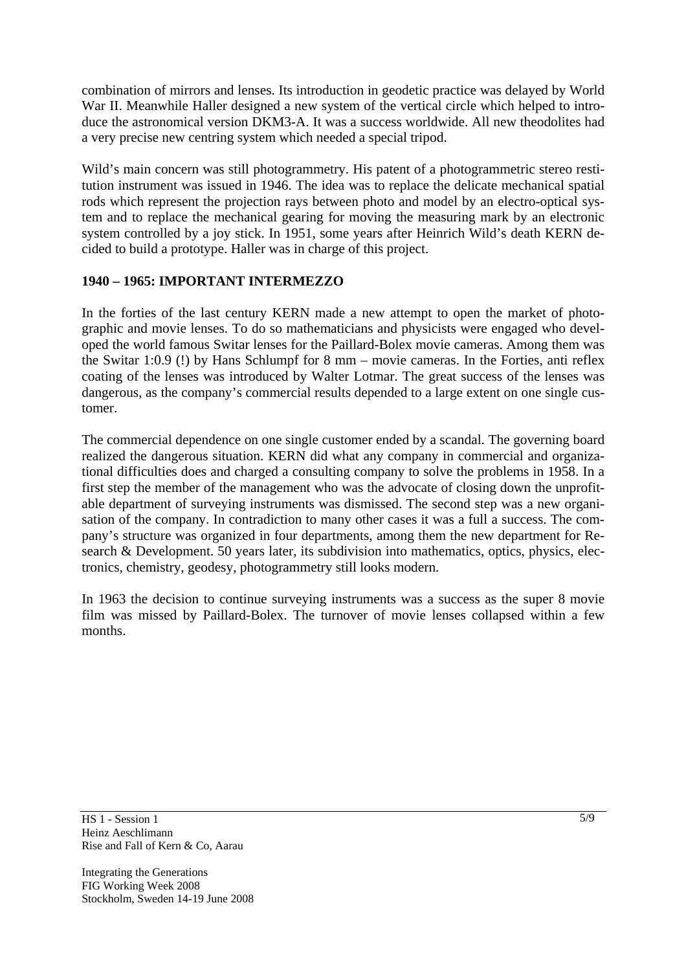combination of mirrors and lenses. Its introduction in geodetic practice was delayed by World War II. Meanwhile Haller designed a new system of the vertical circle which helped to introduce the astronomical version DKM3-A. It was a success worldwide. All new theodolites had a very precise new centring system which needed a special tripod.

Wild's main concern was still photogrammetry. His patent of a photogrammetric stereo restitution instrument was issued in 1946. The idea was to replace the delicate mechanical spatial rods which represent the projection rays between photo and model by an electro-optical system and to replace the mechanical gearing for moving the measuring mark by an electronic system controlled by a joy stick. In 1951, some years after Heinrich Wild's death KERN decided to build a prototype. Haller was in charge of this project.

## **1940 – 1965: IMPORTANT INTERMEZZO**

In the forties of the last century KERN made a new attempt to open the market of photographic and movie lenses. To do so mathematicians and physicists were engaged who developed the world famous Switar lenses for the Paillard-Bolex movie cameras. Among them was the Switar 1:0.9 (!) by Hans Schlumpf for 8 mm – movie cameras. In the Forties, anti reflex coating of the lenses was introduced by Walter Lotmar. The great success of the lenses was dangerous, as the company's commercial results depended to a large extent on one single customer.

The commercial dependence on one single customer ended by a scandal. The governing board realized the dangerous situation. KERN did what any company in commercial and organizational difficulties does and charged a consulting company to solve the problems in 1958. In a first step the member of the management who was the advocate of closing down the unprofitable department of surveying instruments was dismissed. The second step was a new organisation of the company. In contradiction to many other cases it was a full a success. The company's structure was organized in four departments, among them the new department for Research & Development. 50 years later, its subdivision into mathematics, optics, physics, electronics, chemistry, geodesy, photogrammetry still looks modern.

In 1963 the decision to continue surveying instruments was a success as the super 8 movie film was missed by Paillard-Bolex. The turnover of movie lenses collapsed within a few months.

HS 1 - Session 1 Heinz Aeschlimann Rise and Fall of Kern & Co, Aarau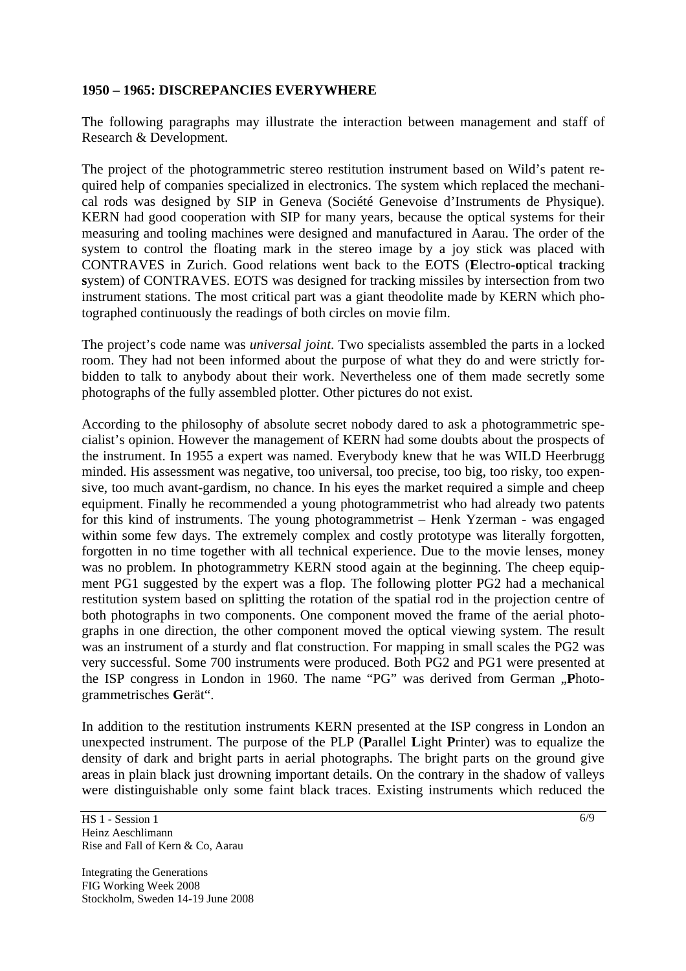#### **1950 – 1965: DISCREPANCIES EVERYWHERE**

The following paragraphs may illustrate the interaction between management and staff of Research & Development.

The project of the photogrammetric stereo restitution instrument based on Wild's patent required help of companies specialized in electronics. The system which replaced the mechanical rods was designed by SIP in Geneva (Société Genevoise d'Instruments de Physique). KERN had good cooperation with SIP for many years, because the optical systems for their measuring and tooling machines were designed and manufactured in Aarau. The order of the system to control the floating mark in the stereo image by a joy stick was placed with CONTRAVES in Zurich. Good relations went back to the EOTS (**E**lectro-**o**ptical **t**racking **s**ystem) of CONTRAVES. EOTS was designed for tracking missiles by intersection from two instrument stations. The most critical part was a giant theodolite made by KERN which photographed continuously the readings of both circles on movie film.

The project's code name was *universal joint*. Two specialists assembled the parts in a locked room. They had not been informed about the purpose of what they do and were strictly forbidden to talk to anybody about their work. Nevertheless one of them made secretly some photographs of the fully assembled plotter. Other pictures do not exist.

According to the philosophy of absolute secret nobody dared to ask a photogrammetric specialist's opinion. However the management of KERN had some doubts about the prospects of the instrument. In 1955 a expert was named. Everybody knew that he was WILD Heerbrugg minded. His assessment was negative, too universal, too precise, too big, too risky, too expensive, too much avant-gardism, no chance. In his eyes the market required a simple and cheep equipment. Finally he recommended a young photogrammetrist who had already two patents for this kind of instruments. The young photogrammetrist – Henk Yzerman - was engaged within some few days. The extremely complex and costly prototype was literally forgotten, forgotten in no time together with all technical experience. Due to the movie lenses, money was no problem. In photogrammetry KERN stood again at the beginning. The cheep equipment PG1 suggested by the expert was a flop. The following plotter PG2 had a mechanical restitution system based on splitting the rotation of the spatial rod in the projection centre of both photographs in two components. One component moved the frame of the aerial photographs in one direction, the other component moved the optical viewing system. The result was an instrument of a sturdy and flat construction. For mapping in small scales the PG2 was very successful. Some 700 instruments were produced. Both PG2 and PG1 were presented at the ISP congress in London in 1960. The name "PG" was derived from German "Photogrammetrisches **G**erät".

In addition to the restitution instruments KERN presented at the ISP congress in London an unexpected instrument. The purpose of the PLP (**P**arallel **L**ight **P**rinter) was to equalize the density of dark and bright parts in aerial photographs. The bright parts on the ground give areas in plain black just drowning important details. On the contrary in the shadow of valleys were distinguishable only some faint black traces. Existing instruments which reduced the

HS 1 - Session 1 Heinz Aeschlimann Rise and Fall of Kern & Co, Aarau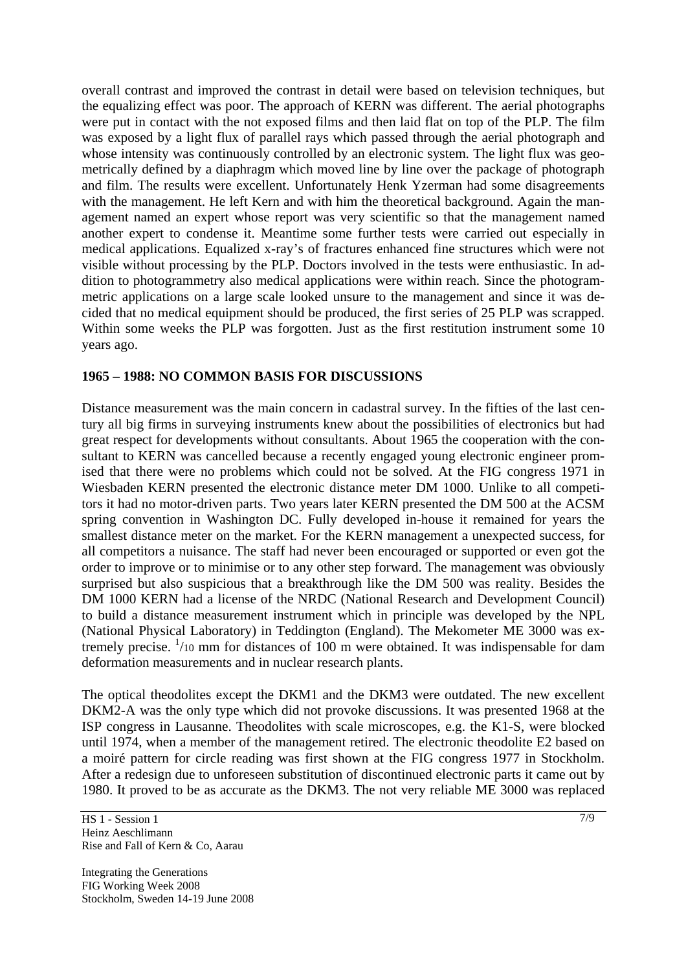overall contrast and improved the contrast in detail were based on television techniques, but the equalizing effect was poor. The approach of KERN was different. The aerial photographs were put in contact with the not exposed films and then laid flat on top of the PLP. The film was exposed by a light flux of parallel rays which passed through the aerial photograph and whose intensity was continuously controlled by an electronic system. The light flux was geometrically defined by a diaphragm which moved line by line over the package of photograph and film. The results were excellent. Unfortunately Henk Yzerman had some disagreements with the management. He left Kern and with him the theoretical background. Again the management named an expert whose report was very scientific so that the management named another expert to condense it. Meantime some further tests were carried out especially in medical applications. Equalized x-ray's of fractures enhanced fine structures which were not visible without processing by the PLP. Doctors involved in the tests were enthusiastic. In addition to photogrammetry also medical applications were within reach. Since the photogrammetric applications on a large scale looked unsure to the management and since it was decided that no medical equipment should be produced, the first series of 25 PLP was scrapped. Within some weeks the PLP was forgotten. Just as the first restitution instrument some 10 years ago.

### **1965 – 1988: NO COMMON BASIS FOR DISCUSSIONS**

Distance measurement was the main concern in cadastral survey. In the fifties of the last century all big firms in surveying instruments knew about the possibilities of electronics but had great respect for developments without consultants. About 1965 the cooperation with the consultant to KERN was cancelled because a recently engaged young electronic engineer promised that there were no problems which could not be solved. At the FIG congress 1971 in Wiesbaden KERN presented the electronic distance meter DM 1000. Unlike to all competitors it had no motor-driven parts. Two years later KERN presented the DM 500 at the ACSM spring convention in Washington DC. Fully developed in-house it remained for years the smallest distance meter on the market. For the KERN management a unexpected success, for all competitors a nuisance. The staff had never been encouraged or supported or even got the order to improve or to minimise or to any other step forward. The management was obviously surprised but also suspicious that a breakthrough like the DM 500 was reality. Besides the DM 1000 KERN had a license of the NRDC (National Research and Development Council) to build a distance measurement instrument which in principle was developed by the NPL (National Physical Laboratory) in Teddington (England). The Mekometer ME 3000 was extremely precise. <sup>1</sup>/10 mm for distances of 100 m were obtained. It was indispensable for dam deformation measurements and in nuclear research plants.

The optical theodolites except the DKM1 and the DKM3 were outdated. The new excellent DKM2-A was the only type which did not provoke discussions. It was presented 1968 at the ISP congress in Lausanne. Theodolites with scale microscopes, e.g. the K1-S, were blocked until 1974, when a member of the management retired. The electronic theodolite E2 based on a moiré pattern for circle reading was first shown at the FIG congress 1977 in Stockholm. After a redesign due to unforeseen substitution of discontinued electronic parts it came out by 1980. It proved to be as accurate as the DKM3. The not very reliable ME 3000 was replaced

HS 1 - Session 1 Heinz Aeschlimann Rise and Fall of Kern & Co, Aarau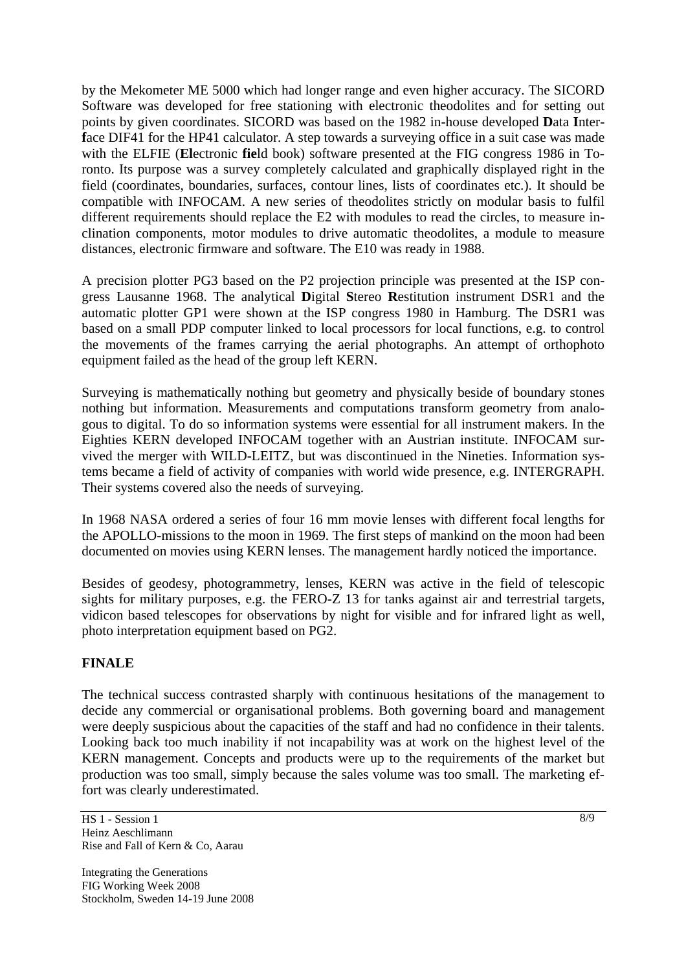by the Mekometer ME 5000 which had longer range and even higher accuracy. The SICORD Software was developed for free stationing with electronic theodolites and for setting out points by given coordinates. SICORD was based on the 1982 in-house developed **D**ata **I**nterface DIF41 for the HP41 calculator. A step towards a surveying office in a suit case was made with the ELFIE (**El**ectronic **fie**ld book) software presented at the FIG congress 1986 in Toronto. Its purpose was a survey completely calculated and graphically displayed right in the field (coordinates, boundaries, surfaces, contour lines, lists of coordinates etc.). It should be compatible with INFOCAM. A new series of theodolites strictly on modular basis to fulfil different requirements should replace the E2 with modules to read the circles, to measure inclination components, motor modules to drive automatic theodolites, a module to measure distances, electronic firmware and software. The E10 was ready in 1988.

A precision plotter PG3 based on the P2 projection principle was presented at the ISP congress Lausanne 1968. The analytical **D**igital **S**tereo **R**estitution instrument DSR1 and the automatic plotter GP1 were shown at the ISP congress 1980 in Hamburg. The DSR1 was based on a small PDP computer linked to local processors for local functions, e.g. to control the movements of the frames carrying the aerial photographs. An attempt of orthophoto equipment failed as the head of the group left KERN.

Surveying is mathematically nothing but geometry and physically beside of boundary stones nothing but information. Measurements and computations transform geometry from analogous to digital. To do so information systems were essential for all instrument makers. In the Eighties KERN developed INFOCAM together with an Austrian institute. INFOCAM survived the merger with WILD-LEITZ, but was discontinued in the Nineties. Information systems became a field of activity of companies with world wide presence, e.g. INTERGRAPH. Their systems covered also the needs of surveying.

In 1968 NASA ordered a series of four 16 mm movie lenses with different focal lengths for the APOLLO-missions to the moon in 1969. The first steps of mankind on the moon had been documented on movies using KERN lenses. The management hardly noticed the importance.

Besides of geodesy, photogrammetry, lenses, KERN was active in the field of telescopic sights for military purposes, e.g. the FERO-Z 13 for tanks against air and terrestrial targets, vidicon based telescopes for observations by night for visible and for infrared light as well, photo interpretation equipment based on PG2.

### **FINALE**

The technical success contrasted sharply with continuous hesitations of the management to decide any commercial or organisational problems. Both governing board and management were deeply suspicious about the capacities of the staff and had no confidence in their talents. Looking back too much inability if not incapability was at work on the highest level of the KERN management. Concepts and products were up to the requirements of the market but production was too small, simply because the sales volume was too small. The marketing effort was clearly underestimated.

HS 1 - Session 1 Heinz Aeschlimann Rise and Fall of Kern & Co, Aarau